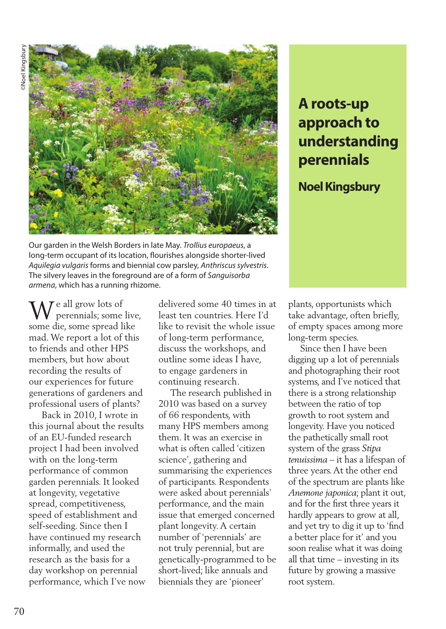

Our garden in the Welsh Borders in late May. *Trollius europaeus*, a long-term occupant of its location, flourishes alongside shorter-lived *Aquilegia vulgaris* forms and biennial cow parsley, *Anthriscus sylvestris*. The silvery leaves in the foreground are of a form of *Sanguisorba armena*, which has a running rhizome.

 $\mathbf{W}^{\text{e all grow lots of}}_{\text{perennials; some}}$ perennials; some live, some die, some spread like mad. We report a lot of this to friends and other HPS members, but how about recording the results of our experiences for future generations of gardeners and professional users of plants?

 Back in 2010, I wrote in this journal about the results of an EU-funded research project I had been involved with on the long-term performance of common garden perennials. It looked at longevity, vegetative spread, competitiveness, speed of establishment and self-seeding. Since then I have continued my research informally, and used the research as the basis for a day workshop on perennial performance, which I've now delivered some 40 times in at least ten countries. Here I'd like to revisit the whole issue of long-term performance, discuss the workshops, and outline some ideas I have, to engage gardeners in continuing research.

 The research published in 2010 was based on a survey of 66 respondents, with many HPS members among them. It was an exercise in what is often called 'citizen science', gathering and summarising the experiences of participants. Respondents were asked about perennials' performance, and the main issue that emerged concerned plant longevity. A certain number of 'perennials' are not truly perennial, but are genetically-programmed to be short-lived; like annuals and biennials they are 'pioneer'

# **A roots-up approach to understanding perennials**

## **Noel Kingsbury**

plants, opportunists which take advantage, often briefly, of empty spaces among more long-term species.

 Since then I have been digging up a lot of perennials and photographing their root systems, and I've noticed that there is a strong relationship between the ratio of top growth to root system and longevity. Have you noticed the pathetically small root system of the grass *Stipa tenuissima* – it has a lifespan of three years. At the other end of the spectrum are plants like *Anemone japonica*; plant it out, and for the first three years it hardly appears to grow at all, and yet try to dig it up to 'find a better place for it' and you soon realise what it was doing all that time – investing in its future by growing a massive root system.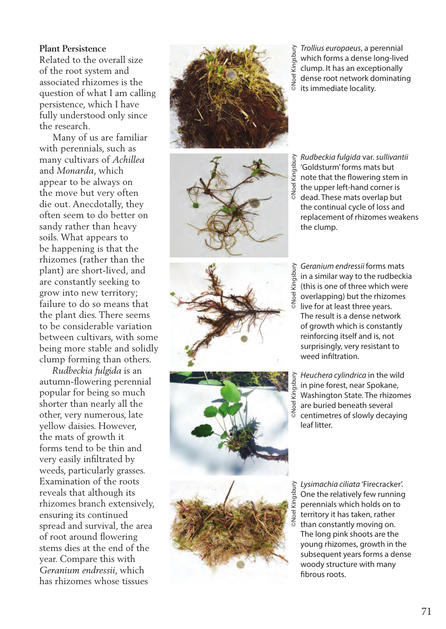#### **Plant Persistence**

Related to the overall size of the root system and associated rhizomes is the question of what I am calling persistence, which I have fully understood only since the research.

 Many of us are familiar with perennials, such as many cultivars of *Achillea* and *Monarda*, which appear to be always on the move but very often die out. Anecdotally, they often seem to do better on sandy rather than heavy soils. What appears to be happening is that the rhizomes (rather than the plant) are short-lived, and are constantly seeking to grow into new territory; failure to do so means that the plant dies. There seems to be considerable variation between cultivars, with some being more stable and solidly clump forming than others.

 *Rudbeckia fulgida* is an autumn-flowering perennial popular for being so much shorter than nearly all the other, very numerous, late yellow daisies. However, the mats of growth it forms tend to be thin and very easily infiltrated by weeds, particularly grasses. Examination of the roots reveals that although its rhizomes branch extensively, ensuring its continued spread and survival, the area of root around flowering stems dies at the end of the year. Compare this with *Geranium endressii*, which has rhizomes whose tissues











*Trollius europaeus*, a perennial which forms a dense long-lived clump. It has an exceptionally dense root network dominating  $\frac{1}{8}$  dense root neuvoles.<br> $\frac{1}{8}$  its immediate locality.

*Rudbeckia fulgida* var. *sullivantii*  'Goldsturm' forms mats but note that the flowering stem in the upper left-hand corner is dead. These mats overlap but the continual cycle of loss and replacement of rhizomes weakens the clump.

Somethia forms a dense long-live<br>Somethic forms a dense long-live<br>Somethic forms an exceptionally<br>gothers dense root network dominatir<br>and the same wealth of the same wealth<br>of the same with the flowering stem in the upper *Geranium endressii* forms mats in a similar way to the rudbeckia  $\frac{36}{5}$  in a similar way to the rudbecking  $\frac{36}{5}$  (this is one of three which were overlapping) but the rhizomes live for at least three years. The result is a dense network of growth which is constantly reinforcing itself and is, not surprisingly, very resistant to weed infiltration.

*Heuchera cylindrica* in the wild in pine forest, near Spokane, Washington State. The rhizomes are buried beneath several centimetres of slowly decaying leaf litter.

One the relatively few running perennials which holds on to territory it has taken, rather than constantly moving on. The long pink shoots are the young rhizomes, growth in the subsequent years forms a dense woody structure with many fibrous roots.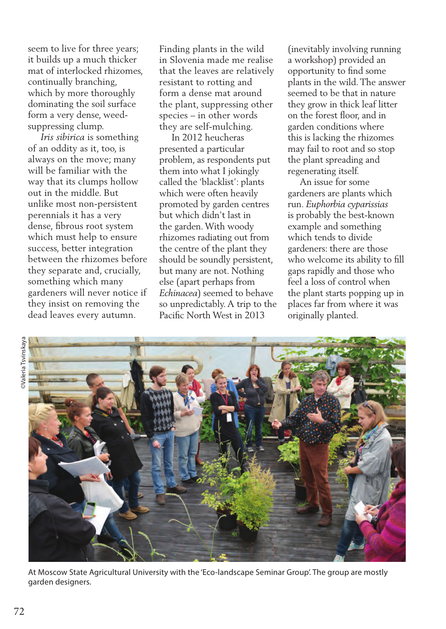seem to live for three years; it builds up a much thicker mat of interlocked rhizomes, continually branching, which by more thoroughly dominating the soil surface form a very dense, weedsuppressing clump.

 *Iris sibirica* is something of an oddity as it, too, is always on the move; many will be familiar with the way that its clumps hollow out in the middle. But unlike most non-persistent perennials it has a very dense, fibrous root system which must help to ensure success, better integration between the rhizomes before they separate and, crucially, something which many gardeners will never notice if they insist on removing the dead leaves every autumn.

Finding plants in the wild in Slovenia made me realise that the leaves are relatively resistant to rotting and form a dense mat around the plant, suppressing other species – in other words they are self-mulching.

 In 2012 heucheras presented a particular problem, as respondents put them into what I jokingly called the 'blacklist': plants which were often heavily promoted by garden centres but which didn't last in the garden. With woody rhizomes radiating out from the centre of the plant they should be soundly persistent, but many are not. Nothing else (apart perhaps from *Echinacea*) seemed to behave so unpredictably. A trip to the Pacific North West in 2013

(inevitably involving running a workshop) provided an opportunity to find some plants in the wild. The answer seemed to be that in nature they grow in thick leaf litter on the forest floor, and in garden conditions where this is lacking the rhizomes may fail to root and so stop the plant spreading and regenerating itself.

 An issue for some gardeners are plants which run. *Euphorbia cyparissias*  is probably the best-known example and something which tends to divide gardeners: there are those who welcome its ability to fill gaps rapidly and those who feel a loss of control when the plant starts popping up in places far from where it was originally planted.



At Moscow State Agricultural University with the 'Eco-landscape Seminar Group'. The group are mostly garden designers.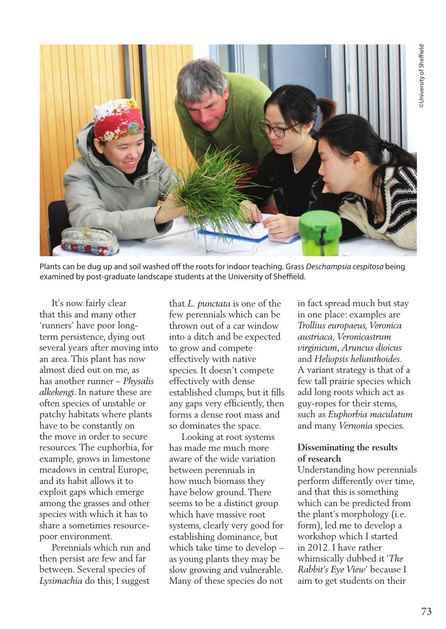

Plants can be dug up and soil washed off the roots for indoor teaching. Grass *Deschampsia cespitosa* being examined by post-graduate landscape students at the University of Sheffield.

 It's now fairly clear that this and many other 'runners' have poor longterm persistence, dying out several years after moving into an area. This plant has now almost died out on me, as has another runner – *Physalis alkekengi*. In nature these are often species of unstable or patchy habitats where plants have to be constantly on the move in order to secure resources. The euphorbia, for example, grows in limestone meadows in central Europe, and its habit allows it to exploit gaps which emerge among the grasses and other species with which it has to share a sometimes resourcepoor environment.

 Perennials which run and then persist are few and far between. Several species of *Lysimachia* do this; I suggest

that *L. punctata* is one of the few perennials which can be thrown out of a car window into a ditch and be expected to grow and compete effectively with native species. It doesn't compete effectively with dense established clumps, but it fills any gaps very efficiently, then forms a dense root mass and so dominates the space.

 Looking at root systems has made me much more aware of the wide variation between perennials in how much biomass they have below ground. There seems to be a distinct group which have massive root systems, clearly very good for establishing dominance, but which take time to develop – as young plants they may be slow growing and vulnerable. Many of these species do not

in fact spread much but stay in one place: examples are *Trollius europaeus, Veronica austriaca, Veronicastrum virginicum, Aruncus dioicus*  and *Heliopsis helianthoides*. A variant strategy is that of a few tall prairie species which add long roots which act as guy-ropes for their stems, such as *Euphorbia maculatum* and many *Vernonia* species.

#### **Disseminating the results of research**

Understanding how perennials perform differently over time, and that this is something which can be predicted from the plant's morphology (i.e. form), led me to develop a workshop which I started in 2012. I have rather whimsically dubbed it '*The Rabbit's Eye View*' because I aim to get students on their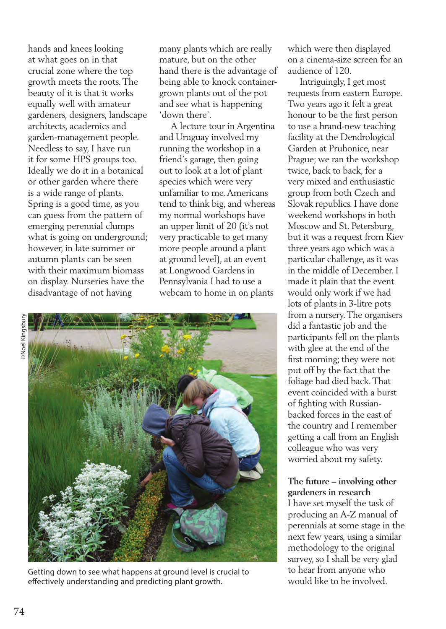hands and knees looking at what goes on in that crucial zone where the top growth meets the roots. The beauty of it is that it works equally well with amateur gardeners, designers, landscape architects, academics and garden-management people. Needless to say, I have run it for some HPS groups too. Ideally we do it in a botanical or other garden where there is a wide range of plants. Spring is a good time, as you can guess from the pattern of emerging perennial clumps what is going on underground; however, in late summer or autumn plants can be seen with their maximum biomass on display. Nurseries have the disadvantage of not having

many plants which are really mature, but on the other hand there is the advantage of being able to knock containergrown plants out of the pot and see what is happening 'down there'.

 A lecture tour in Argentina and Uruguay involved my running the workshop in a friend's garage, then going out to look at a lot of plant species which were very unfamiliar to me. Americans tend to think big, and whereas my normal workshops have an upper limit of 20 (it's not very practicable to get many more people around a plant at ground level), at an event at Longwood Gardens in Pennsylvania I had to use a webcam to home in on plants



Getting down to see what happens at ground level is crucial to effectively understanding and predicting plant growth.

which were then displayed on a cinema-size screen for an audience of 120.

 Intriguingly, I get most requests from eastern Europe. Two years ago it felt a great honour to be the first person to use a brand-new teaching facility at the Dendrological Garden at Pruhonice, near Prague; we ran the workshop twice, back to back, for a very mixed and enthusiastic group from both Czech and Slovak republics. I have done weekend workshops in both Moscow and St. Petersburg, but it was a request from Kiev three years ago which was a particular challenge, as it was in the middle of December. I made it plain that the event would only work if we had lots of plants in 3-litre pots from a nursery. The organisers did a fantastic job and the participants fell on the plants with glee at the end of the first morning; they were not put off by the fact that the foliage had died back. That event coincided with a burst of fighting with Russianbacked forces in the east of the country and I remember getting a call from an English colleague who was very worried about my safety.

### **The future – involving other gardeners in research**

I have set myself the task of producing an A-Z manual of perennials at some stage in the next few years, using a similar methodology to the original survey, so I shall be very glad to hear from anyone who would like to be involved.